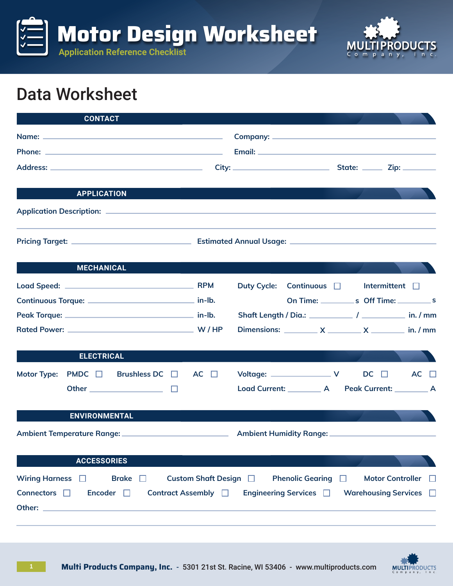



## Data Worksheet

| <b>CONTACT</b>                                                                                                                                                                                                                       |                            |                                                             |                         |             |
|--------------------------------------------------------------------------------------------------------------------------------------------------------------------------------------------------------------------------------------|----------------------------|-------------------------------------------------------------|-------------------------|-------------|
|                                                                                                                                                                                                                                      |                            |                                                             |                         |             |
| <b>APPLICATION</b>                                                                                                                                                                                                                   |                            |                                                             |                         |             |
|                                                                                                                                                                                                                                      |                            |                                                             |                         |             |
|                                                                                                                                                                                                                                      |                            |                                                             |                         |             |
| <b>MECHANICAL</b>                                                                                                                                                                                                                    |                            |                                                             |                         |             |
|                                                                                                                                                                                                                                      |                            | Continuous $\Box$ Intermittent $\Box$<br><b>Duty Cycle:</b> |                         |             |
|                                                                                                                                                                                                                                      |                            |                                                             |                         |             |
|                                                                                                                                                                                                                                      |                            |                                                             |                         |             |
|                                                                                                                                                                                                                                      |                            | Dimensions: $X$ $X$ $X$ $\longrightarrow$ in. / mm          |                         |             |
| <b>ELECTRICAL</b>                                                                                                                                                                                                                    |                            |                                                             |                         |             |
| Motor Type: PMDC $\Box$ Brushless DC $\Box$ AC $\Box$                                                                                                                                                                                |                            | Voltage: $\sqrt{ }$ DC $\Box$                               |                         | $AC$ $\Box$ |
| Other $\qquad \qquad \Box$                                                                                                                                                                                                           |                            | Load Current: __________ A Peak Current: _________ A        |                         |             |
| <b>ENVIRONMENTAL</b>                                                                                                                                                                                                                 |                            |                                                             |                         |             |
|                                                                                                                                                                                                                                      |                            |                                                             |                         |             |
| <b>ACCESSORIES</b>                                                                                                                                                                                                                   |                            |                                                             |                         |             |
| Wiring Harness $\Box$<br>Brake $\Box$                                                                                                                                                                                                | Custom Shaft Design $\Box$ | <b>Phenolic Gearing</b> $\Box$                              | <b>Motor Controller</b> | - 11        |
| Connectors $\square$<br>Encoder $\square$                                                                                                                                                                                            | Contract Assembly $\Box$   | Engineering Services □                                      | Warehousing Services D  |             |
| Other: <u>with the contract of the contract of the contract of the contract of the contract of the contract of the contract of the contract of the contract of the contract of the contract of the contract of the contract of t</u> |                            |                                                             |                         |             |